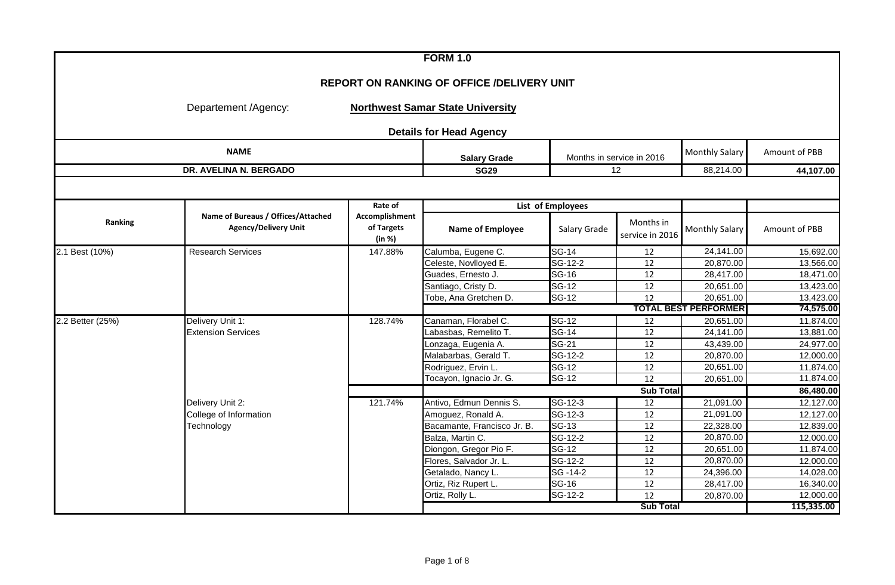|                  |                                                                   |                                               | <b>FORM 1.0</b>                         |                             |                              |                             |               |  |  |  |  |
|------------------|-------------------------------------------------------------------|-----------------------------------------------|-----------------------------------------|-----------------------------|------------------------------|-----------------------------|---------------|--|--|--|--|
|                  | <b>REPORT ON RANKING OF OFFICE /DELIVERY UNIT</b>                 |                                               |                                         |                             |                              |                             |               |  |  |  |  |
|                  | Departement /Agency:                                              |                                               | <b>Northwest Samar State University</b> |                             |                              |                             |               |  |  |  |  |
|                  |                                                                   |                                               | <b>Details for Head Agency</b>          |                             |                              |                             |               |  |  |  |  |
|                  | <b>NAME</b>                                                       |                                               | <b>Salary Grade</b>                     |                             | Months in service in 2016    | <b>Monthly Salary</b>       | Amount of PBB |  |  |  |  |
|                  | DR. AVELINA N. BERGADO                                            |                                               | <b>SG29</b>                             |                             | 12                           | 88,214.00                   | 44,107.00     |  |  |  |  |
|                  |                                                                   |                                               |                                         |                             |                              |                             |               |  |  |  |  |
|                  |                                                                   | Rate of                                       |                                         | List of Employees           |                              |                             |               |  |  |  |  |
| Ranking          | Name of Bureaus / Offices/Attached<br><b>Agency/Delivery Unit</b> | <b>Accomplishment</b><br>of Targets<br>(in %) | <b>Name of Employee</b>                 | Salary Grade                | Months in<br>service in 2016 | <b>Monthly Salary</b>       | Amount of PBB |  |  |  |  |
| 2.1 Best (10%)   | <b>Research Services</b>                                          | 147.88%                                       | Calumba, Eugene C.                      | $SG-14$                     | 12                           | 24,141.00                   | 15,692.00     |  |  |  |  |
|                  |                                                                   |                                               | Celeste, Novlloyed E.                   | SG-12-2                     | 12                           | 20,870.00                   | 13,566.00     |  |  |  |  |
|                  |                                                                   |                                               | Guades, Ernesto J.                      | $\overline{\text{SG-16}}$   | 12                           | 28,417.00                   | 18,471.00     |  |  |  |  |
|                  |                                                                   |                                               | Santiago, Cristy D.                     | $SG-12$                     | 12                           | 20,651.00                   | 13,423.00     |  |  |  |  |
|                  |                                                                   |                                               | Tobe, Ana Gretchen D.                   | <b>SG-12</b>                | 12                           | 20,651.00                   | 13,423.00     |  |  |  |  |
|                  |                                                                   |                                               |                                         |                             |                              | <b>TOTAL BEST PERFORMER</b> | 74,575.00     |  |  |  |  |
| 2.2 Better (25%) | Delivery Unit 1:                                                  | 128.74%                                       | Canaman, Florabel C.                    | $SG-12$                     | 12                           | 20,651.00                   | 11,874.00     |  |  |  |  |
|                  | <b>Extension Services</b>                                         |                                               | Labasbas, Remelito T.                   | <b>SG-14</b>                | 12                           | 24,141.00                   | 13,881.00     |  |  |  |  |
|                  |                                                                   |                                               | Lonzaga, Eugenia A.                     | <b>SG-21</b>                | 12                           | 43,439.00                   | 24,977.00     |  |  |  |  |
|                  |                                                                   |                                               | Malabarbas, Gerald T.                   | $SG-12-2$                   | 12                           | 20,870.00                   | 12,000.00     |  |  |  |  |
|                  |                                                                   |                                               | Rodriguez, Ervin L.                     | <b>SG-12</b>                | 12                           | 20,651.00                   | 11,874.00     |  |  |  |  |
|                  |                                                                   |                                               | Tocayon, Ignacio Jr. G.                 | <b>SG-12</b>                | $\overline{12}$              | 20,651.00                   | 11,874.00     |  |  |  |  |
|                  |                                                                   |                                               |                                         |                             | <b>Sub Total</b>             |                             | 86,480.00     |  |  |  |  |
|                  | Delivery Unit 2:                                                  | 121.74%                                       | Antivo, Edmun Dennis S.                 | $SG-12-3$                   | $\overline{12}$              | 21,091.00                   | 12,127.00     |  |  |  |  |
|                  | College of Information                                            |                                               | Amoguez, Ronald A.                      | SG-12-3                     | $\overline{12}$              | 21,091.00                   | 12,127.00     |  |  |  |  |
|                  | Technology                                                        |                                               | Bacamante, Francisco Jr. B.             | <b>SG-13</b>                | 12                           | 22,328.00                   | 12,839.00     |  |  |  |  |
|                  |                                                                   |                                               | Balza, Martin C.                        | $\overline{\text{SG-12-2}}$ | 12                           | 20,870.00                   | 12,000.00     |  |  |  |  |
|                  |                                                                   |                                               | Diongon, Gregor Pio F.                  | <b>SG-12</b>                | 12                           | 20,651.00                   | 11,874.00     |  |  |  |  |
|                  |                                                                   |                                               | Flores, Salvador Jr. L.                 | SG-12-2                     | 12                           | 20,870.00                   | 12,000.00     |  |  |  |  |
|                  |                                                                   |                                               | Getalado, Nancy L.                      | SG -14-2                    | 12                           | 24,396.00                   | 14,028.00     |  |  |  |  |
|                  |                                                                   |                                               | Ortiz, Riz Rupert L.                    | <b>SG-16</b>                | 12                           | 28,417.00                   | 16,340.00     |  |  |  |  |
|                  |                                                                   |                                               | Ortiz, Rolly L.                         | $SG-12-2$                   | $\overline{12}$              | 20,870.00                   | 12,000.00     |  |  |  |  |
|                  |                                                                   |                                               |                                         |                             | <b>Sub Total</b>             |                             | 115,335.00    |  |  |  |  |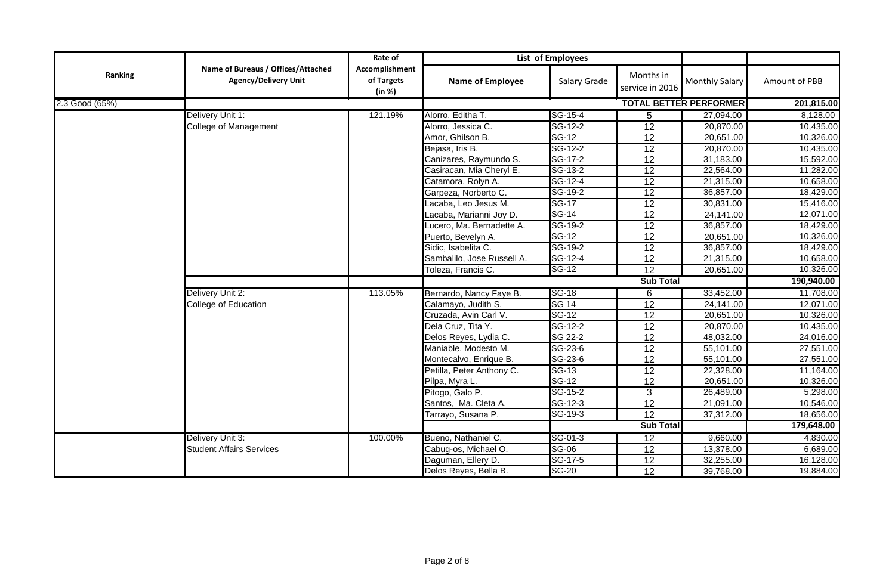|                |                                                                   | Rate of                                |                            | List of Employees         |                              |                               |               |
|----------------|-------------------------------------------------------------------|----------------------------------------|----------------------------|---------------------------|------------------------------|-------------------------------|---------------|
| Ranking        | Name of Bureaus / Offices/Attached<br><b>Agency/Delivery Unit</b> | Accomplishment<br>of Targets<br>(in %) | <b>Name of Employee</b>    | Salary Grade              | Months in<br>service in 2016 | <b>Monthly Salary</b>         | Amount of PBB |
| 2.3 Good (65%) |                                                                   |                                        |                            |                           |                              | <b>TOTAL BETTER PERFORMER</b> | 201,815.00    |
|                | Delivery Unit 1:                                                  | 121.19%                                | Alorro, Editha T.          | SG-15-4                   | 5                            | 27,094.00                     | 8,128.00      |
|                | <b>College of Management</b>                                      |                                        | Alorro, Jessica C.         | SG-12-2                   | $\overline{12}$              | 20,870.00                     | 10,435.00     |
|                |                                                                   |                                        | Amor, Ghilson B.           | $SG-12$                   | $\overline{12}$              | 20,651.00                     | 10,326.00     |
|                |                                                                   |                                        | Bejasa, Iris B.            | SG-12-2                   | $\overline{12}$              | 20,870.00                     | 10,435.00     |
|                |                                                                   |                                        | Canizares, Raymundo S.     | SG-17-2                   | $\overline{12}$              | 31,183.00                     | 15,592.00     |
|                |                                                                   |                                        | Casiracan, Mia Cheryl E.   | SG-13-2                   | $\overline{12}$              | 22,564.00                     | 11,282.00     |
|                |                                                                   |                                        | Catamora, Rolyn A.         | SG-12-4                   | $\overline{12}$              | 21,315.00                     | 10,658.00     |
|                |                                                                   |                                        | Garpeza, Norberto C.       | SG-19-2                   | 12                           | 36,857.00                     | 18,429.00     |
|                |                                                                   |                                        | Lacaba, Leo Jesus M.       | <b>SG-17</b>              | 12                           | 30,831.00                     | 15,416.00     |
|                |                                                                   |                                        | Lacaba, Marianni Joy D.    | <b>SG-14</b>              | $\overline{12}$              | 24,141.00                     | 12,071.00     |
|                |                                                                   |                                        | Lucero, Ma. Bernadette A.  | SG-19-2                   | 12                           | 36,857.00                     | 18,429.00     |
|                |                                                                   |                                        | Puerto, Bevelyn A.         | $SG-12$                   | 12                           | 20,651.00                     | 10,326.00     |
|                |                                                                   |                                        | Sidic, Isabelita C.        | SG-19-2                   | $\overline{12}$              | 36,857.00                     | 18,429.00     |
|                |                                                                   |                                        | Sambalilo, Jose Russell A. | SG-12-4                   | $\overline{12}$              | 21,315.00                     | 10,658.00     |
|                |                                                                   |                                        | Toleza, Francis C.         | $SG-12$                   | $\overline{12}$              | 20,651.00                     | 10,326.00     |
|                |                                                                   |                                        |                            |                           | <b>Sub Total</b>             |                               | 190,940.00    |
|                | Delivery Unit 2:                                                  | 113.05%                                | Bernardo, Nancy Faye B.    | <b>SG-18</b>              | $\overline{6}$               | 33,452.00                     | 11,708.00     |
|                | College of Education                                              |                                        | Calamayo, Judith S.        | <b>SG 14</b>              | $\overline{12}$              | 24,141.00                     | 12,071.00     |
|                |                                                                   |                                        | Cruzada, Avin Carl V.      | $SG-12$                   | 12                           | 20,651.00                     | 10,326.00     |
|                |                                                                   |                                        | Dela Cruz, Tita Y.         | SG-12-2                   | 12                           | 20,870.00                     | 10,435.00     |
|                |                                                                   |                                        | Delos Reyes, Lydia C.      | SG 22-2                   | $\overline{12}$              | 48,032.00                     | 24,016.00     |
|                |                                                                   |                                        | Maniable, Modesto M.       | $SG-23-6$                 | $\overline{12}$              | 55,101.00                     | 27,551.00     |
|                |                                                                   |                                        | Montecalvo, Enrique B.     | SG-23-6                   | $\overline{12}$              | 55,101.00                     | 27,551.00     |
|                |                                                                   |                                        | Petilla, Peter Anthony C.  | <b>SG-13</b>              | $\overline{12}$              | 22,328.00                     | 11,164.00     |
|                |                                                                   |                                        | Pilpa, Myra L.             | $\overline{\text{SG-12}}$ | $\overline{12}$              | 20,651.00                     | 10,326.00     |
|                |                                                                   |                                        | Pitogo, Galo P.            | SG-15-2                   | 3                            | 26,489.00                     | 5,298.00      |
|                |                                                                   |                                        | Santos, Ma. Cleta A.       | SG-12-3                   | $\overline{12}$              | 21,091.00                     | 10,546.00     |
|                |                                                                   |                                        | Tarrayo, Susana P.         | SG-19-3                   | $\overline{12}$              | 37,312.00                     | 18,656.00     |
|                |                                                                   |                                        |                            |                           | <b>Sub Total</b>             |                               | 179,648.00    |
|                | Delivery Unit 3:                                                  | 100.00%                                | Bueno, Nathaniel C.        | $SG-01-3$                 | 12                           | 9,660.00                      | 4,830.00      |
|                | <b>Student Affairs Services</b>                                   |                                        | Cabug-os, Michael O.       | <b>SG-06</b>              | 12                           | 13,378.00                     | 6,689.00      |
|                |                                                                   |                                        | Daguman, Ellery D.         | SG-17-5                   | 12                           | 32,255.00                     | 16,128.00     |
|                |                                                                   |                                        | Delos Reyes, Bella B.      | <b>SG-20</b>              | $\overline{12}$              | 39,768.00                     | 19,884.00     |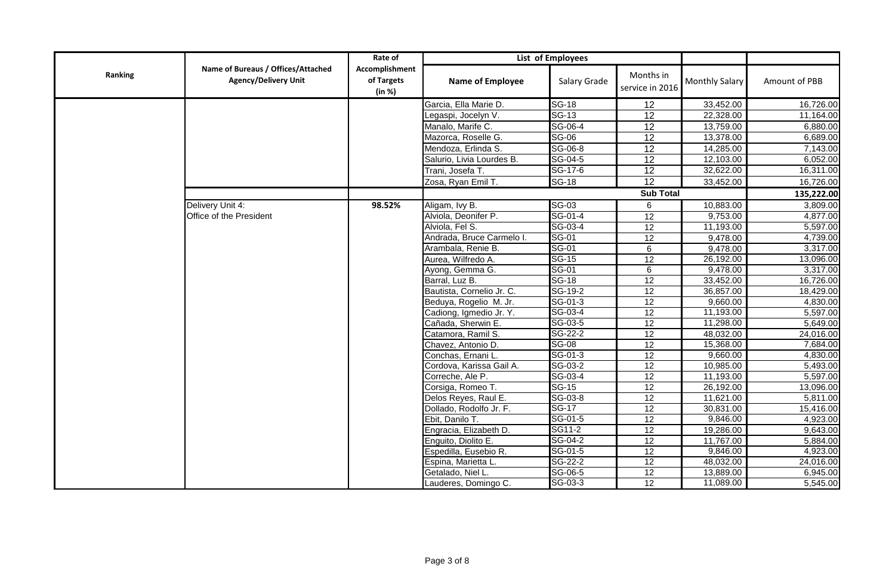|         |                                                                   | Rate of                                |                                           | List of Employees       |                              |                        |                       |
|---------|-------------------------------------------------------------------|----------------------------------------|-------------------------------------------|-------------------------|------------------------------|------------------------|-----------------------|
| Ranking | Name of Bureaus / Offices/Attached<br><b>Agency/Delivery Unit</b> | Accomplishment<br>of Targets<br>(in %) | <b>Name of Employee</b>                   | Salary Grade            | Months in<br>service in 2016 | <b>Monthly Salary</b>  | Amount of PBB         |
|         |                                                                   |                                        | Garcia, Ella Marie D.                     | <b>SG-18</b>            | 12                           | 33,452.00              | 16,726.00             |
|         |                                                                   |                                        | Legaspi, Jocelyn V.                       | <b>SG-13</b>            | $\overline{12}$              | 22,328.00              | 11,164.00             |
|         |                                                                   |                                        | Manalo, Marife C.                         | SG-06-4                 | 12                           | 13,759.00              | 6,880.00              |
|         |                                                                   |                                        | Mazorca, Roselle G.                       | <b>SG-06</b>            | $\overline{12}$              | 13,378.00              | 6,689.00              |
|         |                                                                   |                                        | Mendoza, Erlinda S.                       | SG-06-8                 | 12                           | 14,285.00              | 7,143.00              |
|         |                                                                   |                                        | Salurio, Livia Lourdes B.                 | SG-04-5                 | $\overline{12}$              | 12,103.00              | 6,052.00              |
|         |                                                                   |                                        | Trani, Josefa T.                          | SG-17-6                 | 12                           | 32,622.00              | 16,311.00             |
|         |                                                                   |                                        | Zosa, Ryan Emil T.                        | <b>SG-18</b>            | $\overline{12}$              | 33,452.00              | 16,726.00             |
|         |                                                                   |                                        |                                           |                         | <b>Sub Total</b>             |                        | 135,222.00            |
|         | Delivery Unit 4:                                                  | 98.52%                                 | Aligam, Ivy B.                            | <b>SG-03</b>            | 6                            | 10,883.00              | 3,809.00              |
|         | Office of the President                                           |                                        | Alviola, Deonifer P.                      | SG-01-4                 | $\overline{12}$              | 9,753.00               | 4,877.00              |
|         |                                                                   |                                        | Alviola, Fel S.                           | SG-03-4                 | 12                           | 11,193.00              | 5,597.00              |
|         |                                                                   |                                        | Andrada, Bruce Carmelo I.                 | SG-01                   | 12                           | 9,478.00               | 4,739.00              |
|         |                                                                   |                                        | Arambala, Renie B.                        | <b>SG-01</b>            | 6                            | 9,478.00               | 3,317.00              |
|         |                                                                   |                                        | Aurea, Wilfredo A.                        | $SG-15$                 | $\overline{12}$              | 26,192.00              | 13,096.00             |
|         |                                                                   |                                        | Ayong, Gemma G.                           | <b>SG-01</b>            | 6                            | 9,478.00               | 3,317.00              |
|         |                                                                   |                                        | Barral, Luz B.                            | <b>SG-18</b>            | 12                           | 33,452.00              | 16,726.00             |
|         |                                                                   |                                        | Bautista, Cornelio Jr. C.                 | SG-19-2                 | $\overline{12}$              | 36,857.00              | 18,429.00             |
|         |                                                                   |                                        | Beduya, Rogelio M. Jr.                    | SG-01-3                 | 12                           | 9,660.00               | 4,830.00              |
|         |                                                                   |                                        | Cadiong, Igmedio Jr. Y.                   | SG-03-4                 | 12                           | 11,193.00              | 5,597.00              |
|         |                                                                   |                                        | Cañada, Sherwin E.                        | SG-03-5                 | 12                           | 11,298.00              | 5,649.00              |
|         |                                                                   |                                        | Catamora, Ramil S.                        | SG-22-2                 | $\overline{12}$              | 48,032.00              | 24,016.00             |
|         |                                                                   |                                        | Chavez, Antonio D.                        | <b>SG-08</b>            | 12                           | 15,368.00              | 7,684.00              |
|         |                                                                   |                                        | Conchas, Ernani L.                        | SG-01-3                 | 12                           | 9,660.00               | 4,830.00              |
|         |                                                                   |                                        | Cordova, Karissa Gail A.                  | SG-03-2                 | $\overline{12}$              | 10,985.00              | 5,493.00              |
|         |                                                                   |                                        | Correche, Ale P.                          | SG-03-4                 | 12                           | 11,193.00              | 5,597.00              |
|         |                                                                   |                                        | Corsiga, Romeo T.                         | $SG-15$                 | 12                           | 26,192.00<br>11,621.00 | 13,096.00             |
|         |                                                                   |                                        | Delos Reyes, Raul E.                      | SG-03-8<br><b>SG-17</b> | 12<br>$\overline{12}$        |                        | 5,811.00              |
|         |                                                                   |                                        | Dollado, Rodolfo Jr. F.                   | SG-01-5                 | 12                           | 30,831.00<br>9,846.00  | 15,416.00<br>4,923.00 |
|         |                                                                   |                                        | Ebit, Danilo T.<br>Engracia, Elizabeth D. | SG11-2                  | $\overline{12}$              | 19,286.00              | 9,643.00              |
|         |                                                                   |                                        | Enguito, Diolito E.                       | SG-04-2                 | 12                           | 11,767.00              | 5,884.00              |
|         |                                                                   |                                        | Espedilla, Eusebio R.                     | SG-01-5                 | 12                           | 9,846.00               | 4,923.00              |
|         |                                                                   |                                        | Espina, Marietta L.                       | SG-22-2                 | 12                           | 48,032.00              | 24,016.00             |
|         |                                                                   |                                        | Getalado, Niel L                          | SG-06-5                 | $\overline{12}$              | 13,889.00              | 6,945.00              |
|         |                                                                   |                                        | Lauderes, Domingo C.                      | SG-03-3                 | $\overline{12}$              | 11,089.00              | 5,545.00              |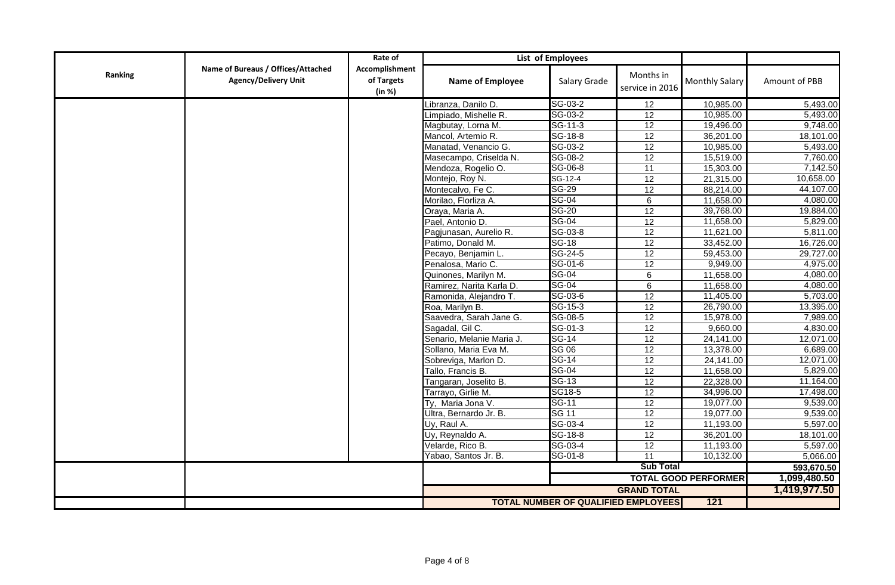|         |                                                                   | Rate of                                |                           | List of Employees                          |                              |                             |               |
|---------|-------------------------------------------------------------------|----------------------------------------|---------------------------|--------------------------------------------|------------------------------|-----------------------------|---------------|
| Ranking | Name of Bureaus / Offices/Attached<br><b>Agency/Delivery Unit</b> | Accomplishment<br>of Targets<br>(in %) | <b>Name of Employee</b>   | Salary Grade                               | Months in<br>service in 2016 | Monthly Salary              | Amount of PBB |
|         |                                                                   |                                        | Libranza, Danilo D.       | SG-03-2                                    | 12                           | 10,985.00                   | 5,493.00      |
|         |                                                                   |                                        | Limpiado, Mishelle R.     | SG-03-2                                    | 12                           | 10,985.00                   | 5,493.00      |
|         |                                                                   |                                        | Magbutay, Lorna M.        | $SG-11-3$                                  | 12                           | 19,496.00                   | 9,748.00      |
|         |                                                                   |                                        | Mancol, Artemio R.        | SG-18-8                                    | $\overline{12}$              | 36,201.00                   | 18,101.00     |
|         |                                                                   |                                        | Manatad, Venancio G.      | SG-03-2                                    | 12                           | 10,985.00                   | 5,493.00      |
|         |                                                                   |                                        | Masecampo, Criselda N.    | SG-08-2                                    | $\overline{12}$              | 15,519.00                   | 7,760.00      |
|         |                                                                   |                                        | Mendoza, Rogelio O.       | SG-06-8                                    | 11                           | 15,303.00                   | 7,142.50      |
|         |                                                                   |                                        | Montejo, Roy N.           | $SG-12-4$                                  | $\overline{12}$              | 21,315.00                   | 10,658.00     |
|         |                                                                   |                                        | Montecalvo, Fe C.         | <b>SG-29</b>                               | $\overline{12}$              | 88,214.00                   | 44,107.00     |
|         |                                                                   |                                        | Morilao, Florliza A.      | <b>SG-04</b>                               | 6                            | 11,658.00                   | 4,080.00      |
|         |                                                                   |                                        | Oraya, Maria A.           | <b>SG-20</b>                               | $\overline{12}$              | 39,768.00                   | 19,884.00     |
|         |                                                                   |                                        | Pael, Antonio D.          | <b>SG-04</b>                               | 12                           | 11,658.00                   | 5,829.00      |
|         |                                                                   |                                        | Pagjunasan, Aurelio R.    | SG-03-8                                    | 12                           | 11,621.00                   | 5,811.00      |
|         |                                                                   |                                        | Patimo, Donald M.         | <b>SG-18</b>                               | $\overline{12}$              | 33,452.00                   | 16,726.00     |
|         |                                                                   |                                        | Pecayo, Benjamin L.       | SG-24-5                                    | $\overline{12}$              | 59,453.00                   | 29,727.00     |
|         |                                                                   |                                        | Penalosa, Mario C.        | SG-01-6                                    | 12                           | 9,949.00                    | 4,975.00      |
|         |                                                                   |                                        | Quinones, Marilyn M.      | <b>SG-04</b>                               | $\overline{6}$               | 11,658.00                   | 4,080.00      |
|         |                                                                   |                                        | Ramirez, Narita Karla D.  | <b>SG-04</b>                               | $\overline{6}$               | 11,658.00                   | 4,080.00      |
|         |                                                                   |                                        | Ramonida, Alejandro T.    | SG-03-6                                    | 12                           | 11,405.00                   | 5,703.00      |
|         |                                                                   |                                        | Roa, Marilyn B.           | SG-15-3                                    | 12                           | 26,790.00                   | 13,395.00     |
|         |                                                                   |                                        | Saavedra, Sarah Jane G.   | SG-08-5                                    | 12                           | 15,978.00                   | 7,989.00      |
|         |                                                                   |                                        | Sagadal, Gil C.           | $SG-01-3$                                  | 12                           | 9,660.00                    | 4,830.00      |
|         |                                                                   |                                        | Senario, Melanie Maria J. | $SG-14$                                    | $\overline{12}$              | 24,141.00                   | 12,071.00     |
|         |                                                                   |                                        | Sollano, Maria Eva M.     | SG 06                                      | $\overline{12}$              | 13,378.00                   | 6,689.00      |
|         |                                                                   |                                        | Sobreviga, Marlon D.      | $SG-14$                                    | 12                           | 24,141.00                   | 12,071.00     |
|         |                                                                   |                                        | Tallo, Francis B.         | $SG-04$                                    | $\overline{12}$              | 11,658.00                   | 5,829.00      |
|         |                                                                   |                                        | Tangaran, Joselito B.     | <b>SG-13</b>                               | 12                           | 22,328.00                   | 11,164.00     |
|         |                                                                   |                                        | Tarrayo, Girlie M.        | SG18-5                                     | 12                           | 34,996.00                   | 17,498.00     |
|         |                                                                   |                                        | Ty, Maria Jona V.         | <b>SG-11</b>                               | $\overline{12}$              | 19,077.00                   | 9,539.00      |
|         |                                                                   |                                        | Ultra, Bernardo Jr. B.    | <b>SG 11</b>                               | $\overline{12}$              | 19,077.00                   | 9,539.00      |
|         |                                                                   |                                        | Uy, Raul A.               | SG-03-4                                    | 12                           | 11,193.00                   | 5,597.00      |
|         |                                                                   |                                        | Uy, Reynaldo A.           | SG-18-8                                    | 12                           | 36,201.00                   | 18,101.00     |
|         |                                                                   |                                        | Velarde, Rico B.          | SG-03-4                                    | $\overline{12}$              | 11,193.00                   | 5,597.00      |
|         |                                                                   |                                        | Yabao, Santos Jr. B.      | SG-01-8                                    | 11                           | 10,132.00                   | 5,066.00      |
|         |                                                                   |                                        |                           |                                            | <b>Sub Total</b>             |                             | 593,670.50    |
|         |                                                                   |                                        |                           |                                            |                              | <b>TOTAL GOOD PERFORMER</b> | 1,099,480.50  |
|         |                                                                   |                                        |                           |                                            | <b>GRAND TOTAL</b>           |                             | 1,419,977.50  |
|         |                                                                   |                                        |                           | <b>TOTAL NUMBER OF QUALIFIED EMPLOYEES</b> |                              | $121$                       |               |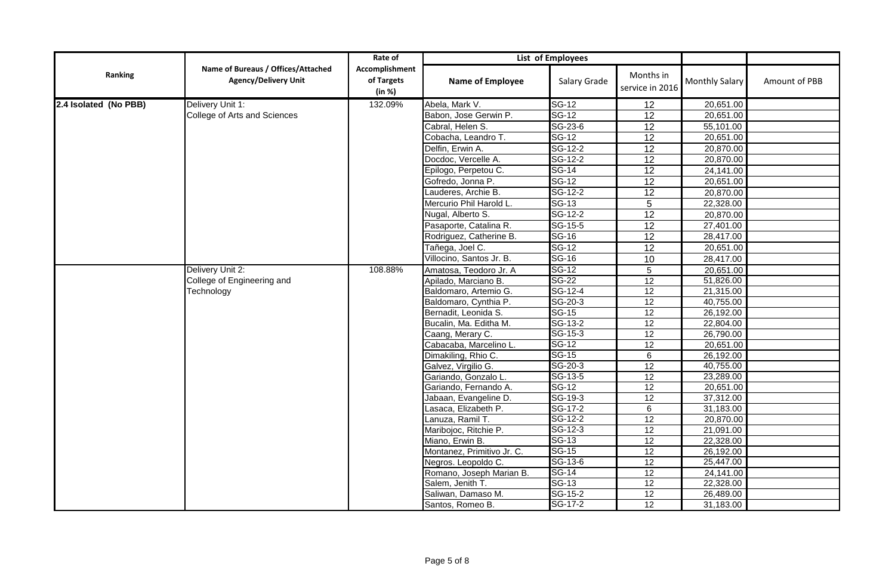|                       |                                                                   | Rate of                                |                            | List of Employees         |                              |                       |               |
|-----------------------|-------------------------------------------------------------------|----------------------------------------|----------------------------|---------------------------|------------------------------|-----------------------|---------------|
| Ranking               | Name of Bureaus / Offices/Attached<br><b>Agency/Delivery Unit</b> | Accomplishment<br>of Targets<br>(in %) | Name of Employee           | Salary Grade              | Months in<br>service in 2016 | <b>Monthly Salary</b> | Amount of PBB |
| 2.4 Isolated (No PBB) | Delivery Unit 1:                                                  | 132.09%                                | Abela, Mark V.             | <b>SG-12</b>              | 12                           | 20,651.00             |               |
|                       | College of Arts and Sciences                                      |                                        | Babon, Jose Gerwin P.      | <b>SG-12</b>              | $\overline{12}$              | 20,651.00             |               |
|                       |                                                                   |                                        | Cabral, Helen S.           | SG-23-6                   | $\overline{12}$              | 55,101.00             |               |
|                       |                                                                   |                                        | Cobacha, Leandro T.        | $SG-12$                   | 12                           | 20,651.00             |               |
|                       |                                                                   |                                        | Delfin, Erwin A.           | $\overline{SG-12-2}$      | $\overline{12}$              | 20,870.00             |               |
|                       |                                                                   |                                        | Docdoc, Vercelle A.        | SG-12-2                   | 12                           | 20,870.00             |               |
|                       |                                                                   |                                        | Epilogo, Perpetou C.       | $SG-14$                   | $\overline{12}$              | 24,141.00             |               |
|                       |                                                                   |                                        | Gofredo, Jonna P.          | <b>SG-12</b>              | 12                           | 20,651.00             |               |
|                       |                                                                   |                                        | Lauderes, Archie B.        | SG-12-2                   | $\overline{12}$              | 20,870.00             |               |
|                       |                                                                   |                                        | Mercurio Phil Harold L.    | $\overline{\text{SG-13}}$ | 5                            | 22,328.00             |               |
|                       |                                                                   |                                        | Nugal, Alberto S.          | SG-12-2                   | $\overline{12}$              | 20,870.00             |               |
|                       |                                                                   |                                        | Pasaporte, Catalina R.     | $SG-15-5$                 | $\overline{12}$              | 27,401.00             |               |
|                       |                                                                   |                                        | Rodriguez, Catherine B.    | <b>SG-16</b>              | $\overline{12}$              | 28,417.00             |               |
|                       |                                                                   |                                        | Tañega, Joel C.            | $SG-12$                   | $\overline{12}$              | 20,651.00             |               |
|                       |                                                                   |                                        | Villocino, Santos Jr. B.   | <b>SG-16</b>              | 10                           | 28,417.00             |               |
|                       | Delivery Unit 2:                                                  | 108.88%                                | Amatosa, Teodoro Jr. A     | <b>SG-12</b>              | 5                            | 20,651.00             |               |
|                       | College of Engineering and                                        |                                        | Apilado, Marciano B.       | <b>SG-22</b>              | $\overline{12}$              | 51,826.00             |               |
|                       | Technology                                                        |                                        | Baldomaro, Artemio G.      | SG-12-4                   | $\overline{12}$              | 21,315.00             |               |
|                       |                                                                   |                                        | Baldomaro, Cynthia P.      | SG-20-3                   | 12                           | 40,755.00             |               |
|                       |                                                                   |                                        | Bernadit, Leonida S.       | <b>SG-15</b>              | 12                           | 26,192.00             |               |
|                       |                                                                   |                                        | Bucalin, Ma. Editha M.     | SG-13-2                   | 12                           | 22,804.00             |               |
|                       |                                                                   |                                        | Caang, Merary C.           | SG-15-3                   | 12                           | 26,790.00             |               |
|                       |                                                                   |                                        | Cabacaba, Marcelino L.     | <b>SG-12</b>              | 12                           | 20,651.00             |               |
|                       |                                                                   |                                        | Dimakiling, Rhio C.        | $SG-15$                   | 6                            | 26,192.00             |               |
|                       |                                                                   |                                        | Galvez, Virgilio G.        | SG-20-3                   | 12                           | 40,755.00             |               |
|                       |                                                                   |                                        | Gariando, Gonzalo L.       | SG-13-5                   | $\overline{12}$              | 23,289.00             |               |
|                       |                                                                   |                                        | Gariando, Fernando A.      | <b>SG-12</b>              | $\overline{12}$              | 20,651.00             |               |
|                       |                                                                   |                                        | Jabaan, Evangeline D.      | SG-19-3                   | $\overline{12}$              | 37,312.00             |               |
|                       |                                                                   |                                        | Lasaca, Elizabeth P.       | SG-17-2                   | 6                            | 31,183.00             |               |
|                       |                                                                   |                                        | Lanuza, Ramil T.           | SG-12-2                   | 12                           | 20,870.00             |               |
|                       |                                                                   |                                        | Maribojoc, Ritchie P.      | SG-12-3                   | 12                           | 21,091.00             |               |
|                       |                                                                   |                                        | Miano, Erwin B.            | SG-13                     | $\overline{12}$              | 22,328.00             |               |
|                       |                                                                   |                                        | Montanez, Primitivo Jr. C. | $SG-15$                   | $\overline{12}$              | 26,192.00             |               |
|                       |                                                                   |                                        | Negros. Leopoldo C.        | SG-13-6                   | 12                           | 25,447.00             |               |
|                       |                                                                   |                                        | Romano, Joseph Marian B.   | <b>SG-14</b>              | 12                           | 24,141.00             |               |
|                       |                                                                   |                                        | Salem, Jenith T.           | <b>SG-13</b>              | $\overline{12}$              | 22,328.00             |               |
|                       |                                                                   |                                        | Saliwan, Damaso M.         | $SG-15-2$                 | $\overline{12}$              | 26,489.00             |               |
|                       |                                                                   |                                        | Santos, Romeo B.           | SG-17-2                   | $\overline{12}$              | 31,183.00             |               |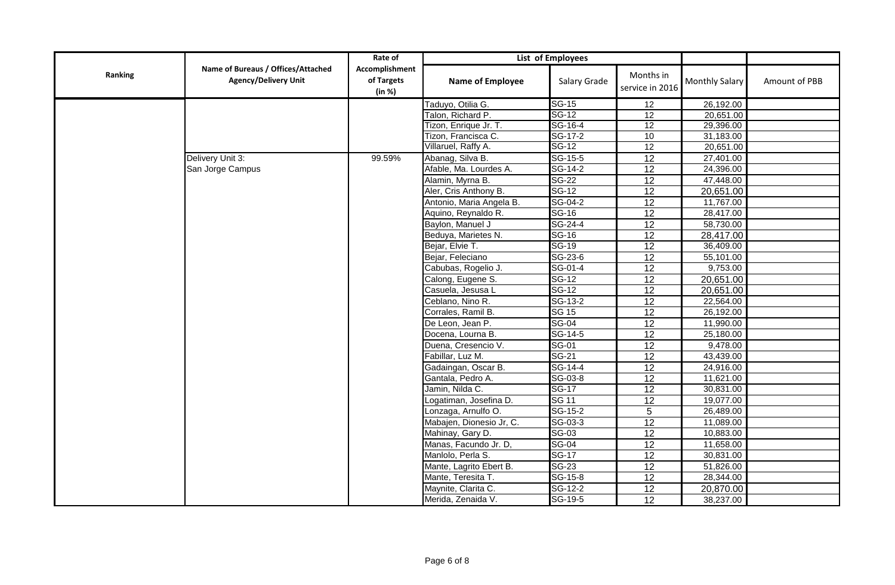|         |                                                                   | Rate of                                | List of Employees        |                      |                              |                |               |
|---------|-------------------------------------------------------------------|----------------------------------------|--------------------------|----------------------|------------------------------|----------------|---------------|
| Ranking | Name of Bureaus / Offices/Attached<br><b>Agency/Delivery Unit</b> | Accomplishment<br>of Targets<br>(in %) | Name of Employee         | Salary Grade         | Months in<br>service in 2016 | Monthly Salary | Amount of PBB |
|         |                                                                   |                                        | Taduyo, Otilia G.        | <b>SG-15</b>         | 12                           | 26,192.00      |               |
|         |                                                                   |                                        | Talon, Richard P.        | <b>SG-12</b>         | 12                           | 20,651.00      |               |
|         |                                                                   |                                        | Tizon, Enrique Jr. T.    | SG-16-4              | 12                           | 29,396.00      |               |
|         |                                                                   |                                        | Tizon, Francisca C.      | $SG-17-2$            | 10                           | 31,183.00      |               |
|         |                                                                   |                                        | Villaruel, Raffy A.      | <b>SG-12</b>         | $\overline{12}$              | 20,651.00      |               |
|         | Delivery Unit 3:                                                  | 99.59%                                 | Abanag, Silva B.         | SG-15-5              | $\overline{12}$              | 27,401.00      |               |
|         | San Jorge Campus                                                  |                                        | Afable, Ma. Lourdes A.   | SG-14-2              | 12                           | 24,396.00      |               |
|         |                                                                   |                                        | Alamin, Myrna B.         | <b>SG-22</b>         | $\overline{12}$              | 47,448.00      |               |
|         |                                                                   |                                        | Aler, Cris Anthony B.    | <b>SG-12</b>         | 12                           | 20,651.00      |               |
|         |                                                                   |                                        | Antonio, Maria Angela B. | SG-04-2              | 12                           | 11,767.00      |               |
|         |                                                                   |                                        | Aquino, Reynaldo R.      | <b>SG-16</b>         | 12                           | 28,417.00      |               |
|         |                                                                   |                                        | Baylon, Manuel J         | $SG-24-4$            | $\overline{12}$              | 58,730.00      |               |
|         |                                                                   |                                        | Beduya, Marietes N.      | $SG-16$              | 12                           | 28,417.00      |               |
|         |                                                                   |                                        | Bejar, Elvie T.          | $SG-19$              | 12                           | 36,409.00      |               |
|         |                                                                   |                                        | Bejar, Feleciano         | SG-23-6              | $\overline{12}$              | 55,101.00      |               |
|         |                                                                   |                                        | Cabubas, Rogelio J.      | SG-01-4              | $\overline{12}$              | 9,753.00       |               |
|         |                                                                   |                                        | Calong, Eugene S.        | <b>SG-12</b>         | $\overline{12}$              | 20,651.00      |               |
|         |                                                                   |                                        | Casuela, Jesusa L        | $SG-12$              | 12                           | 20,651.00      |               |
|         |                                                                   |                                        | Ceblano, Nino R.         | SG-13-2              | $\overline{12}$              | 22,564.00      |               |
|         |                                                                   |                                        | Corrales, Ramil B.       | <b>SG 15</b>         | 12                           | 26,192.00      |               |
|         |                                                                   |                                        | De Leon, Jean P.         | <b>SG-04</b>         | 12                           | 11,990.00      |               |
|         |                                                                   |                                        | Docena, Lourna B.        | SG-14-5              | $\overline{12}$              | 25,180.00      |               |
|         |                                                                   |                                        | Duena, Cresencio V.      | <b>SG-01</b>         | 12                           | 9,478.00       |               |
|         |                                                                   |                                        | Fabillar, Luz M.         | <b>SG-21</b>         | $\overline{12}$              | 43,439.00      |               |
|         |                                                                   |                                        | Gadaingan, Oscar B.      | SG-14-4              | $\overline{12}$              | 24,916.00      |               |
|         |                                                                   |                                        | Gantala, Pedro A.        | SG-03-8              | $\overline{12}$              | 11,621.00      |               |
|         |                                                                   |                                        | Jamin, Nilda C.          | <b>SG-17</b>         | $\overline{12}$              | 30,831.00      |               |
|         |                                                                   |                                        | Logatiman, Josefina D.   | <b>SG 11</b>         | $\overline{12}$              | 19,077.00      |               |
|         |                                                                   |                                        | Lonzaga, Arnulfo O.      | $\overline{SG-15-2}$ | 5                            | 26,489.00      |               |
|         |                                                                   |                                        | Mabajen, Dionesio Jr, C. | SG-03-3              | $\overline{12}$              | 11,089.00      |               |
|         |                                                                   |                                        | Mahinay, Gary D.         | <b>SG-03</b>         | 12                           | 10,883.00      |               |
|         |                                                                   |                                        | Manas, Facundo Jr. D,    | $SG-04$              | 12                           | 11,658.00      |               |
|         |                                                                   |                                        | Manlolo, Perla S.        | <b>SG-17</b>         | $\overline{12}$              | 30,831.00      |               |
|         |                                                                   |                                        | Mante, Lagrito Ebert B.  | <b>SG-23</b>         | 12                           | 51,826.00      |               |
|         |                                                                   |                                        | Mante, Teresita T.       | SG-15-8              | $\overline{12}$              | 28,344.00      |               |
|         |                                                                   |                                        | Maynite, Clarita C.      | $SG-12-2$            | $\overline{12}$              | 20,870.00      |               |
|         |                                                                   |                                        | Merida, Zenaida V.       | SG-19-5              | $\overline{12}$              | 38,237.00      |               |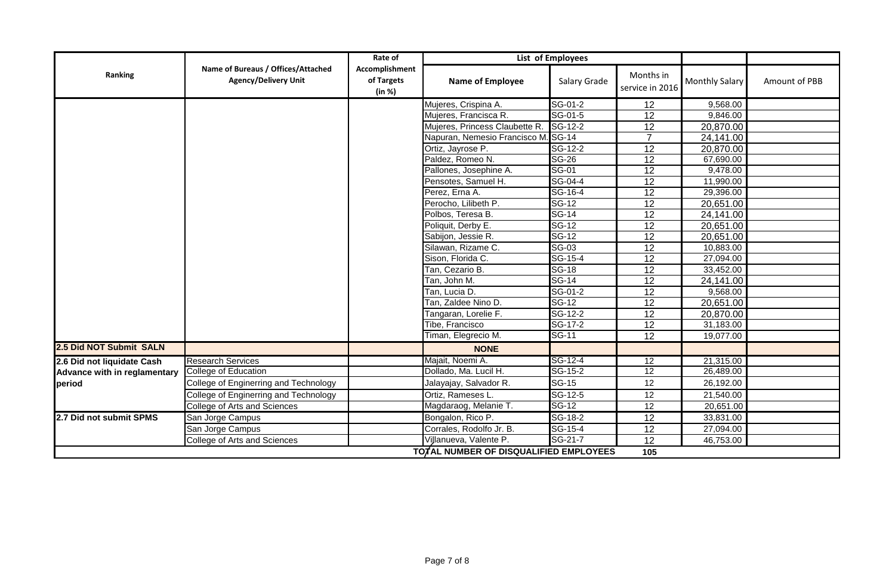|                                     |                                                                   | Rate of                                | List of Employees                      |                             |                              |                       |               |
|-------------------------------------|-------------------------------------------------------------------|----------------------------------------|----------------------------------------|-----------------------------|------------------------------|-----------------------|---------------|
| Ranking                             | Name of Bureaus / Offices/Attached<br><b>Agency/Delivery Unit</b> | Accomplishment<br>of Targets<br>(in %) | Name of Employee                       | Salary Grade                | Months in<br>service in 2016 | <b>Monthly Salary</b> | Amount of PBB |
|                                     |                                                                   |                                        | Mujeres, Crispina A.                   | SG-01-2                     | 12                           | 9,568.00              |               |
|                                     |                                                                   |                                        | Mujeres, Francisca R.                  | SG-01-5                     | 12                           | 9,846.00              |               |
|                                     |                                                                   |                                        | Mujeres, Princess Claubette R.         | SG-12-2                     | $\overline{12}$              | 20,870.00             |               |
|                                     |                                                                   |                                        | Napuran, Nemesio Francisco M. SG-14    |                             | $\overline{7}$               | 24,141.00             |               |
|                                     |                                                                   |                                        | Ortiz, Jayrose P.                      | $\overline{SG-12-2}$        | $\overline{12}$              | 20,870.00             |               |
|                                     |                                                                   |                                        | Paldez, Romeo N.                       | <b>SG-26</b>                | $\overline{12}$              | 67,690.00             |               |
|                                     |                                                                   |                                        | Pallones, Josephine A.                 | <b>SG-01</b>                | 12                           | 9,478.00              |               |
|                                     |                                                                   |                                        | Pensotes, Samuel H.                    | $\overline{\text{SG-04-4}}$ | $\overline{12}$              | 11,990.00             |               |
|                                     |                                                                   |                                        | Perez, Erna A.                         | SG-16-4                     | 12                           | 29,396.00             |               |
|                                     |                                                                   |                                        | Perocho, Lilibeth P.                   | <b>SG-12</b>                | 12                           | 20,651.00             |               |
|                                     |                                                                   |                                        | Polbos, Teresa B.                      | <b>SG-14</b>                | $\overline{12}$              | 24,141.00             |               |
|                                     |                                                                   |                                        | Poliquit, Derby E.                     | $SG-12$                     | 12                           | 20,651.00             |               |
|                                     |                                                                   |                                        | Sabijon, Jessie R.                     | <b>SG-12</b>                | 12                           | 20,651.00             |               |
|                                     |                                                                   |                                        | Silawan, Rizame C.                     | <b>SG-03</b>                | 12                           | 10,883.00             |               |
|                                     |                                                                   |                                        | Sison, Florida C.                      | $SG-15-4$                   | $\overline{12}$              | 27,094.00             |               |
|                                     |                                                                   |                                        | Tan, Cezario B.                        | <b>SG-18</b>                | 12                           | 33,452.00             |               |
|                                     |                                                                   |                                        | Tan, John M.                           | <b>SG-14</b>                | $\overline{12}$              | 24,141.00             |               |
|                                     |                                                                   |                                        | Tan, Lucia D.                          | SG-01-2                     | 12                           | 9,568.00              |               |
|                                     |                                                                   |                                        | Tan, Zaldee Nino D.                    | <b>SG-12</b>                | 12                           | 20,651.00             |               |
|                                     |                                                                   |                                        | Tangaran, Lorelie F.                   | $\overline{SG-12-2}$        | $\overline{12}$              | 20,870.00             |               |
|                                     |                                                                   |                                        | Tibe, Francisco                        | SG-17-2                     | 12                           | 31,183.00             |               |
|                                     |                                                                   |                                        | Timan, Elegrecio M.                    | <b>SG-11</b>                | 12                           | 19,077.00             |               |
| 2.5 Did NOT Submit SALN             |                                                                   |                                        | <b>NONE</b>                            |                             |                              |                       |               |
| 2.6 Did not liquidate Cash          | <b>Research Services</b>                                          |                                        | Majait, Noemi A.                       | SG-12-4                     | 12                           | 21,315.00             |               |
| <b>Advance with in reglamentary</b> | College of Education                                              |                                        | Dollado, Ma. Lucil H.                  | SG-15-2                     | $\overline{12}$              | 26,489.00             |               |
| period                              | College of Enginerring and Technology                             |                                        | Jalayajay, Salvador R.                 | <b>SG-15</b>                | 12                           | 26,192.00             |               |
|                                     | College of Enginerring and Technology                             |                                        | Ortiz, Rameses L.                      | SG-12-5                     | 12                           | 21,540.00             |               |
|                                     | College of Arts and Sciences                                      |                                        | Magdaraog, Melanie T.                  | <b>SG-12</b>                | 12                           | 20,651.00             |               |
| 2.7 Did not submit SPMS             | San Jorge Campus                                                  |                                        | Bongalon, Rico P.                      | SG-18-2                     | $\overline{12}$              | 33,831.00             |               |
|                                     | San Jorge Campus                                                  |                                        | Corrales, Rodolfo Jr. B.               | $\overline{SG-15-4}$        | 12                           | 27,094.00             |               |
|                                     | College of Arts and Sciences                                      |                                        | Villanueva, Valente P.                 | SG-21-7                     | 12                           | 46,753.00             |               |
|                                     |                                                                   |                                        | TOTAL NUMBER OF DISQUALIFIED EMPLOYEES |                             | 105                          |                       |               |